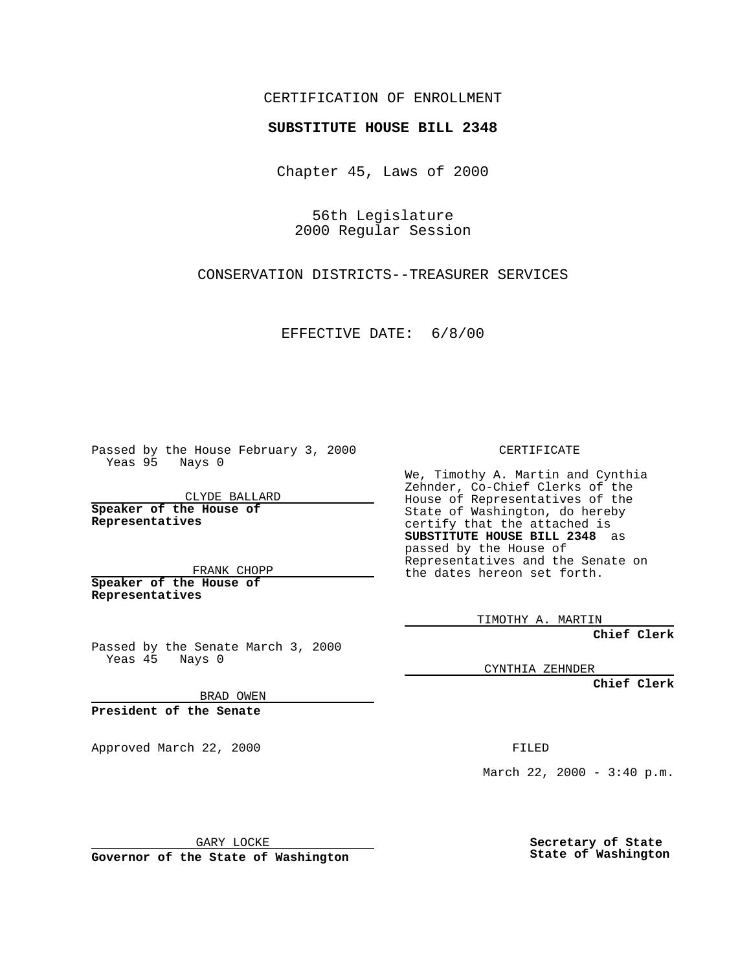CERTIFICATION OF ENROLLMENT

## **SUBSTITUTE HOUSE BILL 2348**

Chapter 45, Laws of 2000

56th Legislature 2000 Regular Session

CONSERVATION DISTRICTS--TREASURER SERVICES

EFFECTIVE DATE: 6/8/00

Passed by the House February 3, 2000 Yeas 95 Nays 0

CLYDE BALLARD **Speaker of the House of Representatives**

FRANK CHOPP **Speaker of the House of**

**Representatives**

Passed by the Senate March 3, 2000 Yeas 45 Nays 0

BRAD OWEN

**President of the Senate**

Approved March 22, 2000 FILED

CERTIFICATE

We, Timothy A. Martin and Cynthia Zehnder, Co-Chief Clerks of the House of Representatives of the State of Washington, do hereby certify that the attached is **SUBSTITUTE HOUSE BILL 2348** as passed by the House of Representatives and the Senate on the dates hereon set forth.

TIMOTHY A. MARTIN

**Chief Clerk**

CYNTHIA ZEHNDER

**Chief Clerk**

March 22, 2000 -  $3:40$  p.m.

GARY LOCKE

**Governor of the State of Washington**

**Secretary of State State of Washington**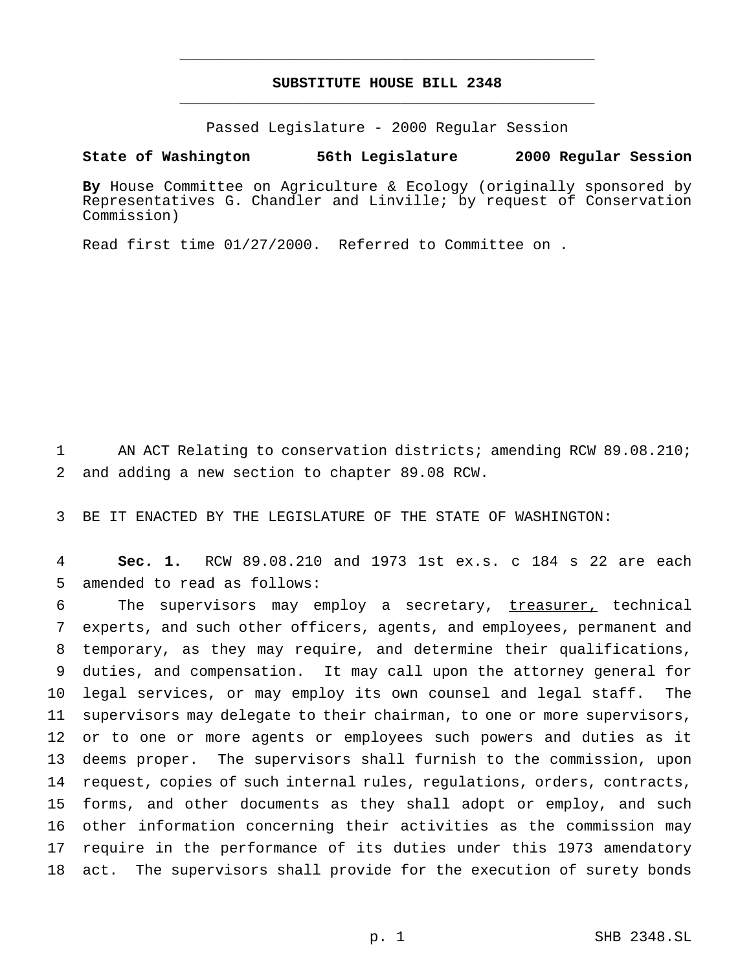## **SUBSTITUTE HOUSE BILL 2348** \_\_\_\_\_\_\_\_\_\_\_\_\_\_\_\_\_\_\_\_\_\_\_\_\_\_\_\_\_\_\_\_\_\_\_\_\_\_\_\_\_\_\_\_\_\_\_

\_\_\_\_\_\_\_\_\_\_\_\_\_\_\_\_\_\_\_\_\_\_\_\_\_\_\_\_\_\_\_\_\_\_\_\_\_\_\_\_\_\_\_\_\_\_\_

Passed Legislature - 2000 Regular Session

**State of Washington 56th Legislature 2000 Regular Session**

**By** House Committee on Agriculture & Ecology (originally sponsored by Representatives G. Chandler and Linville; by request of Conservation Commission)

Read first time 01/27/2000. Referred to Committee on .

 AN ACT Relating to conservation districts; amending RCW 89.08.210; and adding a new section to chapter 89.08 RCW.

BE IT ENACTED BY THE LEGISLATURE OF THE STATE OF WASHINGTON:

 **Sec. 1.** RCW 89.08.210 and 1973 1st ex.s. c 184 s 22 are each amended to read as follows:

6 The supervisors may employ a secretary, treasurer, technical experts, and such other officers, agents, and employees, permanent and temporary, as they may require, and determine their qualifications, duties, and compensation. It may call upon the attorney general for legal services, or may employ its own counsel and legal staff. The supervisors may delegate to their chairman, to one or more supervisors, or to one or more agents or employees such powers and duties as it deems proper. The supervisors shall furnish to the commission, upon request, copies of such internal rules, regulations, orders, contracts, forms, and other documents as they shall adopt or employ, and such other information concerning their activities as the commission may require in the performance of its duties under this 1973 amendatory act. The supervisors shall provide for the execution of surety bonds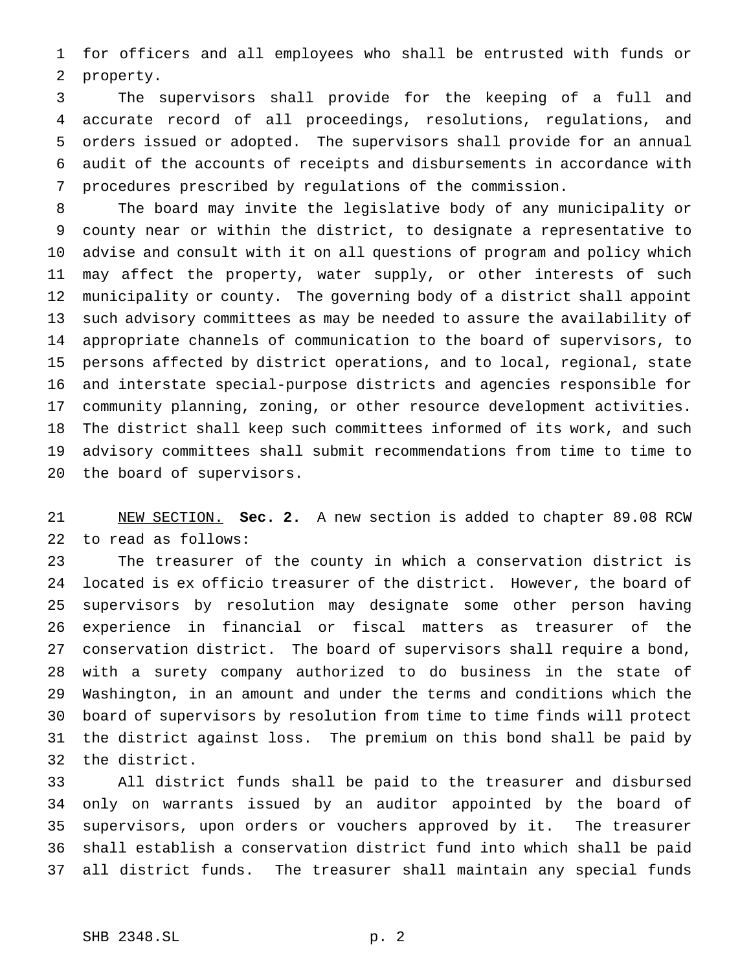for officers and all employees who shall be entrusted with funds or property.

 The supervisors shall provide for the keeping of a full and accurate record of all proceedings, resolutions, regulations, and orders issued or adopted. The supervisors shall provide for an annual audit of the accounts of receipts and disbursements in accordance with procedures prescribed by regulations of the commission.

 The board may invite the legislative body of any municipality or county near or within the district, to designate a representative to advise and consult with it on all questions of program and policy which may affect the property, water supply, or other interests of such municipality or county. The governing body of a district shall appoint such advisory committees as may be needed to assure the availability of appropriate channels of communication to the board of supervisors, to persons affected by district operations, and to local, regional, state and interstate special-purpose districts and agencies responsible for community planning, zoning, or other resource development activities. The district shall keep such committees informed of its work, and such advisory committees shall submit recommendations from time to time to the board of supervisors.

 NEW SECTION. **Sec. 2.** A new section is added to chapter 89.08 RCW to read as follows:

 The treasurer of the county in which a conservation district is located is ex officio treasurer of the district. However, the board of supervisors by resolution may designate some other person having experience in financial or fiscal matters as treasurer of the conservation district. The board of supervisors shall require a bond, with a surety company authorized to do business in the state of Washington, in an amount and under the terms and conditions which the board of supervisors by resolution from time to time finds will protect the district against loss. The premium on this bond shall be paid by the district.

 All district funds shall be paid to the treasurer and disbursed only on warrants issued by an auditor appointed by the board of supervisors, upon orders or vouchers approved by it. The treasurer shall establish a conservation district fund into which shall be paid all district funds. The treasurer shall maintain any special funds